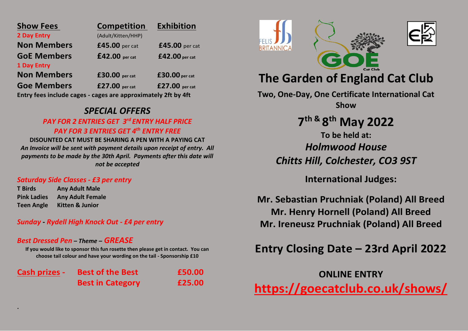| <b>Show Fees</b>                                              | <b>Competition</b> | <b>Exhibition</b> |
|---------------------------------------------------------------|--------------------|-------------------|
| 2 Day Entry                                                   | (Adult/Kitten/HHP) |                   |
| <b>Non Members</b>                                            | £45.00 per cat     | £45.00 per cat    |
| <b>GoE Members</b>                                            | $£42.00$ per cat   | £42.00 per cat    |
| <b>1 Day Entry</b>                                            |                    |                   |
| <b>Non Members</b>                                            | £30.00 per cat     | $£30.00$ per cat  |
| <b>Goe Members</b>                                            | £27.00 per cat     | £27.00 per cat    |
| Entry fees include cages - cages are approximately 2ft by 4ft |                    |                   |

*SPECIAL OFFERS*

## *PAY FOR 2 ENTRIES GET 3 rd ENTRY HALF PRICE PAY FOR 3 ENTRIES GET 4th ENTRY FREE*

**DISOUNTED CAT MUST BE SHARING A PEN WITH A PAYING CAT** *An Invoice will be sent with payment details upon receipt of entry. All payments to be made by the 30th April. Payments after this date will not be accepted*

### *Saturday Side Classes - £3 per entry*

**T Birds Any Adult Male Pink Ladies Any Adult Female Teen Angle Kitten & Junior**

*.*

*Sunday - Rydell High Knock Out - £4 per entry*

## *Best Dressed Pen – Theme – GREASE*

**If you would like to sponsor this fun rosette then please get in contact. You can choose tail colour and have your wording on the tail - Sponsorship £10**

**Cash prizes - Best of the Best £50.00 Best in Category £25.00**





# **The Garden of England Cat Club**

**Two, One-Day, One Certificate International Cat Show**

> **7 th & 8 th May 2022 To be held at:** *Holmwood House Chitts Hill, Colchester, CO3 9ST*

> > **International Judges:**

**Mr. Sebastian Pruchniak (Poland) All Breed Mr. Henry Hornell (Poland) All Breed Mr. Ireneusz Pruchniak (Poland) All Breed**

# **Entry Closing Date – 23rd April 2022**

**ONLINE ENTRY <https://goecatclub.co.uk/shows/>**